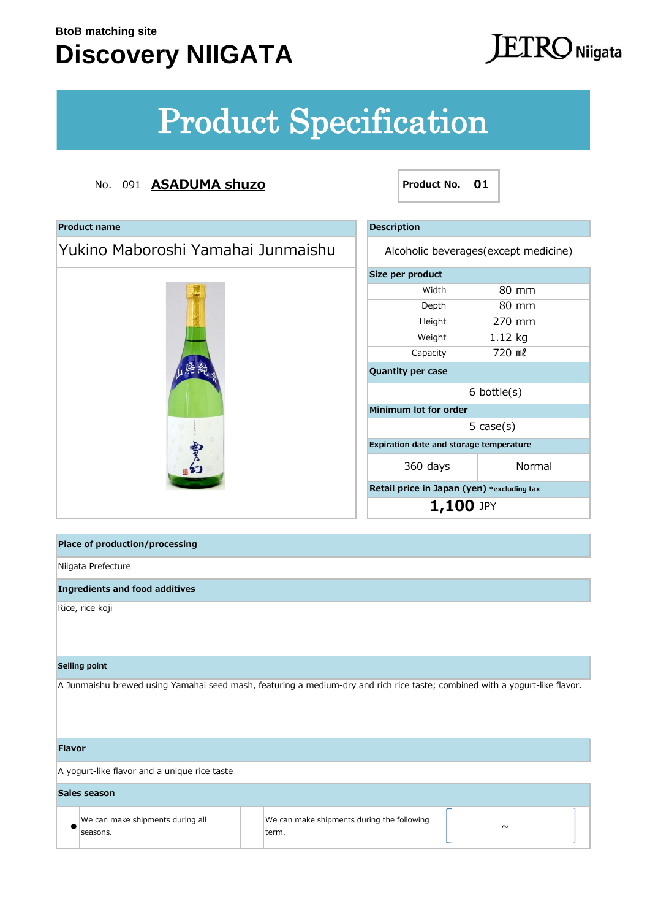**Product name**

### **Discovery NIIGATA**

### $\Gamma$ K $\bigcirc$  Niigata

# Product Specification

#### No. 091 **ASADUMA shuzo**

Yukino Maboroshi Yamahai Junmaishu

廃名

**Product No. 01**

| <b>Description</b>                             |         |  |  |  |
|------------------------------------------------|---------|--|--|--|
| Alcoholic beverages (except medicine)          |         |  |  |  |
| Size per product                               |         |  |  |  |
| Width                                          | 80 mm   |  |  |  |
| Depth                                          | 80 mm   |  |  |  |
| Height                                         | 270 mm  |  |  |  |
| Weight                                         | 1.12 kg |  |  |  |
| Capacity                                       | 720 ml  |  |  |  |
| <b>Quantity per case</b>                       |         |  |  |  |
| $6$ bottle $(s)$                               |         |  |  |  |
| Minimum lot for order                          |         |  |  |  |
| $5 \cose(s)$                                   |         |  |  |  |
| <b>Expiration date and storage temperature</b> |         |  |  |  |
| 360 days                                       | Normal  |  |  |  |
| Retail price in Japan (yen) *excluding tax     |         |  |  |  |
| 1,100 JPY                                      |         |  |  |  |

**Place of production/processing**

Niigata Prefecture

**Ingredients and food additives** 

Rice, rice koji

#### **Selling point**

A Junmaishu brewed using Yamahai seed mash, featuring a medium-dry and rich rice taste; combined with a yogurt-like flavor.

#### **Flavor**

A yogurt-like flavor and a unique rice taste

| Sales season                                 |  |                                                      |        |  |  |
|----------------------------------------------|--|------------------------------------------------------|--------|--|--|
| We can make shipments during all<br>seasons. |  | We can make shipments during the following<br>lterm. | $\sim$ |  |  |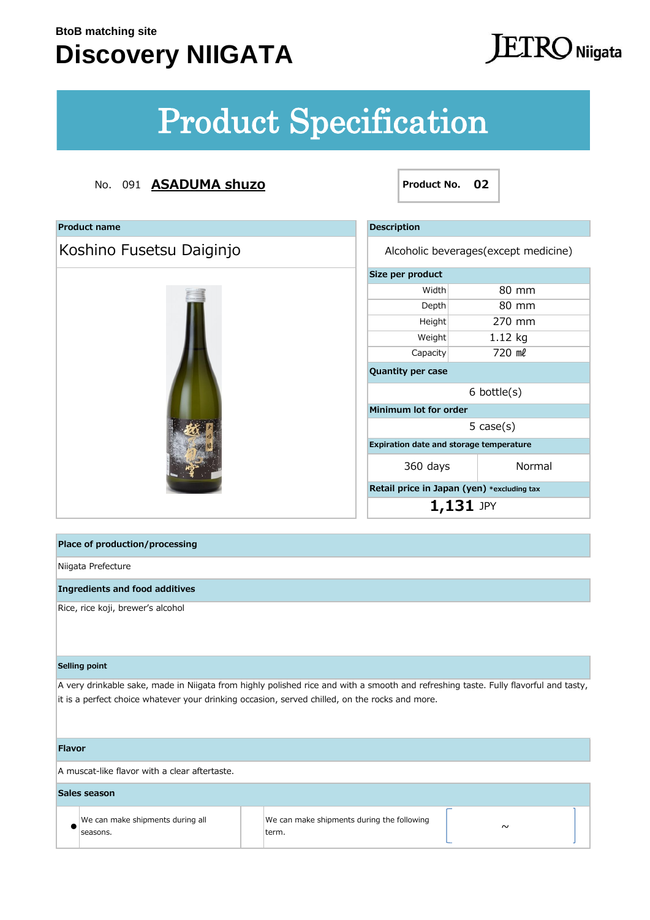## **Discovery NIIGATA**

## **JETRO** Niigata

 $\overline{\phantom{a}}$ 

# Product Specification

#### No. 091 **ASADUMA shuzo Product No. 02**

| <b>Product name</b>                                                                                                                                                                                                                   | <b>Description</b>                         |                                       |  |  |
|---------------------------------------------------------------------------------------------------------------------------------------------------------------------------------------------------------------------------------------|--------------------------------------------|---------------------------------------|--|--|
| Koshino Fusetsu Daiginjo                                                                                                                                                                                                              |                                            | Alcoholic beverages (except medicine) |  |  |
|                                                                                                                                                                                                                                       | Size per product                           |                                       |  |  |
|                                                                                                                                                                                                                                       | Width                                      | 80 mm                                 |  |  |
|                                                                                                                                                                                                                                       | Depth                                      | 80 mm                                 |  |  |
|                                                                                                                                                                                                                                       | Height                                     | 270 mm                                |  |  |
|                                                                                                                                                                                                                                       | Weight                                     | 1.12 kg                               |  |  |
|                                                                                                                                                                                                                                       | Capacity                                   | 720 ml                                |  |  |
|                                                                                                                                                                                                                                       | Quantity per case                          |                                       |  |  |
|                                                                                                                                                                                                                                       |                                            | $6$ bottle $(s)$                      |  |  |
|                                                                                                                                                                                                                                       | Minimum lot for order                      |                                       |  |  |
|                                                                                                                                                                                                                                       |                                            | $5 \cose(s)$                          |  |  |
|                                                                                                                                                                                                                                       | Expiration date and storage temperature    |                                       |  |  |
|                                                                                                                                                                                                                                       | 360 days                                   | Normal                                |  |  |
|                                                                                                                                                                                                                                       | Retail price in Japan (yen) *excluding tax |                                       |  |  |
|                                                                                                                                                                                                                                       | $1,131$ JPY                                |                                       |  |  |
|                                                                                                                                                                                                                                       |                                            |                                       |  |  |
| <b>Place of production/processing</b>                                                                                                                                                                                                 |                                            |                                       |  |  |
| Niigata Prefecture                                                                                                                                                                                                                    |                                            |                                       |  |  |
| <b>Ingredients and food additives</b>                                                                                                                                                                                                 |                                            |                                       |  |  |
| Rice, rice koji, brewer's alcohol                                                                                                                                                                                                     |                                            |                                       |  |  |
|                                                                                                                                                                                                                                       |                                            |                                       |  |  |
|                                                                                                                                                                                                                                       |                                            |                                       |  |  |
| <b>Selling point</b>                                                                                                                                                                                                                  |                                            |                                       |  |  |
| A very drinkable sake, made in Niigata from highly polished rice and with a smooth and refreshing taste. Fully flavorful and tasty,<br>it is a perfect choice whatever your drinking occasion, served chilled, on the rocks and more. |                                            |                                       |  |  |
|                                                                                                                                                                                                                                       |                                            |                                       |  |  |
|                                                                                                                                                                                                                                       |                                            |                                       |  |  |
| <b>Flavor</b>                                                                                                                                                                                                                         |                                            |                                       |  |  |
| A muscat-like flavor with a clear aftertaste.                                                                                                                                                                                         |                                            |                                       |  |  |
| Sales season                                                                                                                                                                                                                          |                                            |                                       |  |  |
| We can make shipments during all<br>seasons.<br>term.                                                                                                                                                                                 | We can make shipments during the following | $\sim$                                |  |  |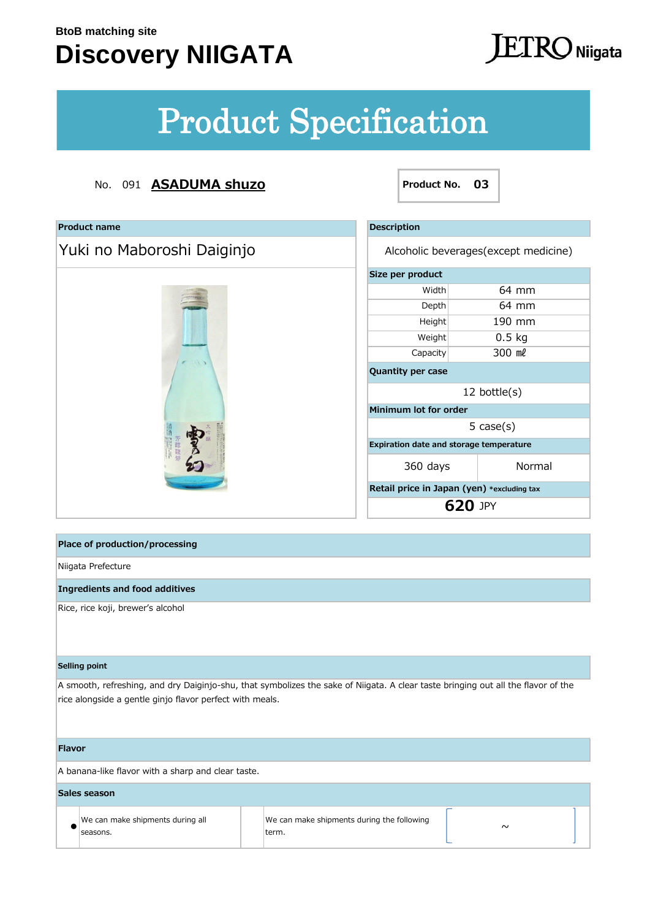### **Discovery NIIGATA**

### $ETRO$  Niigata

# Product Specification

#### No. 091 **ASADUMA shuzo Product No. 03**

| <b>Product name</b>                   | <b>Description</b>                         |                                       |  |
|---------------------------------------|--------------------------------------------|---------------------------------------|--|
| Yuki no Maboroshi Daiginjo            |                                            | Alcoholic beverages (except medicine) |  |
|                                       | Size per product                           |                                       |  |
|                                       | Width                                      | 64 mm                                 |  |
|                                       | Depth                                      | 64 mm                                 |  |
|                                       | Height                                     | 190 mm                                |  |
|                                       | Weight                                     | $0.5$ kg                              |  |
|                                       | Capacity                                   | 300 ml                                |  |
|                                       | <b>Quantity per case</b>                   |                                       |  |
|                                       | 12 bottle $(s)$                            |                                       |  |
|                                       | Minimum lot for order                      |                                       |  |
|                                       |                                            | $5 \cose(s)$                          |  |
|                                       | Expiration date and storage temperature    |                                       |  |
|                                       | 360 days                                   | Normal                                |  |
|                                       | Retail price in Japan (yen) *excluding tax |                                       |  |
|                                       | <b>620 JPY</b>                             |                                       |  |
|                                       |                                            |                                       |  |
| <b>Place of production/processing</b> |                                            |                                       |  |
| Niigata Prefecture                    |                                            |                                       |  |
| <b>Ingredients and food additives</b> |                                            |                                       |  |
|                                       |                                            |                                       |  |

#### **Selling point**

A smooth, refreshing, and dry Daiginjo-shu, that symbolizes the sake of Niigata. A clear taste bringing out all the flavor of the rice alongside a gentle ginjo flavor perfect with meals.

#### **Flavor**

A banana-like flavor with a sharp and clear taste.

| Sales season                                 |  |                                                      |  |        |  |
|----------------------------------------------|--|------------------------------------------------------|--|--------|--|
| We can make shipments during all<br>seasons. |  | We can make shipments during the following<br>lterm. |  | $\sim$ |  |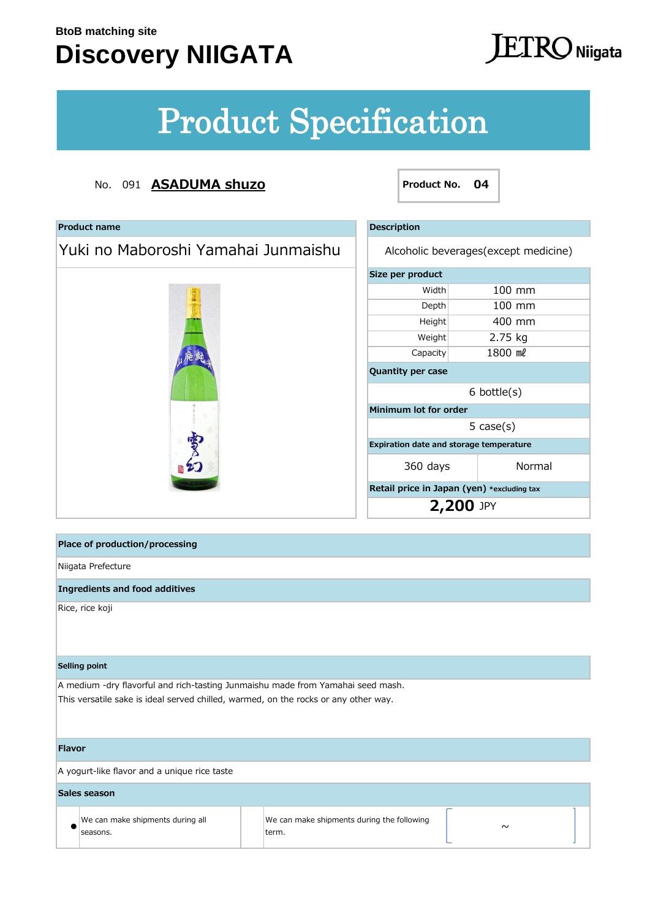## **Discovery NIIGATA**

### **JETRO** Niigata

# Product Specification

#### No. 091 **ASADUMA shuzo Product No. 04**

| <b>Product name</b>                                                                                                                                                    |                                                     | <b>Description</b>                         |                  |  |
|------------------------------------------------------------------------------------------------------------------------------------------------------------------------|-----------------------------------------------------|--------------------------------------------|------------------|--|
| Yuki no Maboroshi Yamahai Junmaishu                                                                                                                                    |                                                     | Alcoholic beverages (except medicine)      |                  |  |
|                                                                                                                                                                        |                                                     | Size per product                           |                  |  |
|                                                                                                                                                                        |                                                     | Width                                      | 100 mm           |  |
|                                                                                                                                                                        |                                                     | Depth                                      | 100 mm           |  |
|                                                                                                                                                                        |                                                     | Height                                     | 400 mm           |  |
|                                                                                                                                                                        |                                                     | Weight                                     | 2.75 kg          |  |
|                                                                                                                                                                        |                                                     | Capacity                                   | 1800 ml          |  |
|                                                                                                                                                                        |                                                     | Quantity per case                          |                  |  |
|                                                                                                                                                                        |                                                     |                                            | $6$ bottle $(s)$ |  |
|                                                                                                                                                                        |                                                     | Minimum lot for order                      |                  |  |
|                                                                                                                                                                        |                                                     |                                            | 5 $case(s)$      |  |
|                                                                                                                                                                        |                                                     | Expiration date and storage temperature    |                  |  |
| 雪台                                                                                                                                                                     |                                                     | 360 days                                   | Normal           |  |
|                                                                                                                                                                        |                                                     | Retail price in Japan (yen) *excluding tax |                  |  |
|                                                                                                                                                                        |                                                     | 2,200 JPY                                  |                  |  |
|                                                                                                                                                                        |                                                     |                                            |                  |  |
| <b>Place of production/processing</b>                                                                                                                                  |                                                     |                                            |                  |  |
| Niigata Prefecture                                                                                                                                                     |                                                     |                                            |                  |  |
| <b>Ingredients and food additives</b>                                                                                                                                  |                                                     |                                            |                  |  |
| Rice, rice koji                                                                                                                                                        |                                                     |                                            |                  |  |
| <b>Selling point</b>                                                                                                                                                   |                                                     |                                            |                  |  |
| A medium -dry flavorful and rich-tasting Junmaishu made from Yamahai seed mash.<br>This versatile sake is ideal served chilled, warmed, on the rocks or any other way. |                                                     |                                            |                  |  |
| <b>Flavor</b>                                                                                                                                                          |                                                     |                                            |                  |  |
| A yogurt-like flavor and a unique rice taste                                                                                                                           |                                                     |                                            |                  |  |
| Sales season                                                                                                                                                           |                                                     |                                            |                  |  |
| We can make shipments during all<br>seasons.                                                                                                                           | We can make shipments during the following<br>term. |                                            | $\sim$           |  |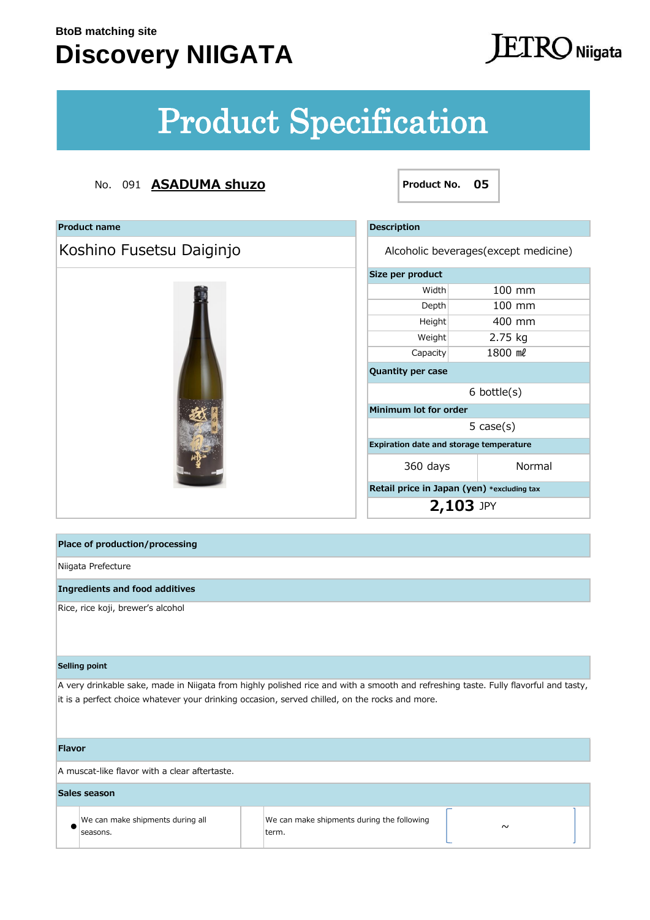seasons.

## **Discovery NIIGATA**

## **JETRO** Niigata

# Product Specification

#### No. 091 **ASADUMA shuzo Product No. 05**

| <b>Product name</b>                                                                                                                                                                                                                   |                                            | <b>Description</b>       |                                            |  |  |
|---------------------------------------------------------------------------------------------------------------------------------------------------------------------------------------------------------------------------------------|--------------------------------------------|--------------------------|--------------------------------------------|--|--|
| Koshino Fusetsu Daiginjo                                                                                                                                                                                                              |                                            |                          | Alcoholic beverages (except medicine)      |  |  |
|                                                                                                                                                                                                                                       |                                            | Size per product         |                                            |  |  |
|                                                                                                                                                                                                                                       |                                            | Width                    | 100 mm                                     |  |  |
|                                                                                                                                                                                                                                       |                                            | Depth                    | 100 mm                                     |  |  |
|                                                                                                                                                                                                                                       |                                            | Height                   | 400 mm                                     |  |  |
|                                                                                                                                                                                                                                       |                                            | Weight                   | 2.75 kg                                    |  |  |
|                                                                                                                                                                                                                                       |                                            | Capacity                 | 1800 ml                                    |  |  |
|                                                                                                                                                                                                                                       |                                            | <b>Quantity per case</b> |                                            |  |  |
|                                                                                                                                                                                                                                       |                                            | $6$ bottle $(s)$         |                                            |  |  |
|                                                                                                                                                                                                                                       |                                            | Minimum lot for order    |                                            |  |  |
|                                                                                                                                                                                                                                       |                                            |                          | 5 $case(s)$                                |  |  |
|                                                                                                                                                                                                                                       |                                            |                          | Expiration date and storage temperature    |  |  |
|                                                                                                                                                                                                                                       |                                            | 360 days                 | Normal                                     |  |  |
|                                                                                                                                                                                                                                       |                                            |                          | Retail price in Japan (yen) *excluding tax |  |  |
|                                                                                                                                                                                                                                       |                                            | 2,103 JPY                |                                            |  |  |
|                                                                                                                                                                                                                                       |                                            |                          |                                            |  |  |
| <b>Place of production/processing</b>                                                                                                                                                                                                 |                                            |                          |                                            |  |  |
| Niigata Prefecture                                                                                                                                                                                                                    |                                            |                          |                                            |  |  |
| <b>Ingredients and food additives</b>                                                                                                                                                                                                 |                                            |                          |                                            |  |  |
| Rice, rice koji, brewer's alcohol                                                                                                                                                                                                     |                                            |                          |                                            |  |  |
| <b>Selling point</b>                                                                                                                                                                                                                  |                                            |                          |                                            |  |  |
| A very drinkable sake, made in Niigata from highly polished rice and with a smooth and refreshing taste. Fully flavorful and tasty,<br>it is a perfect choice whatever your drinking occasion, served chilled, on the rocks and more. |                                            |                          |                                            |  |  |
| <b>Flavor</b>                                                                                                                                                                                                                         |                                            |                          |                                            |  |  |
| A muscat-like flavor with a clear aftertaste.                                                                                                                                                                                         |                                            |                          |                                            |  |  |
| <b>Sales season</b>                                                                                                                                                                                                                   |                                            |                          |                                            |  |  |
| We can make shipments during all                                                                                                                                                                                                      | We can make shipments during the following |                          | $\sim$                                     |  |  |

term.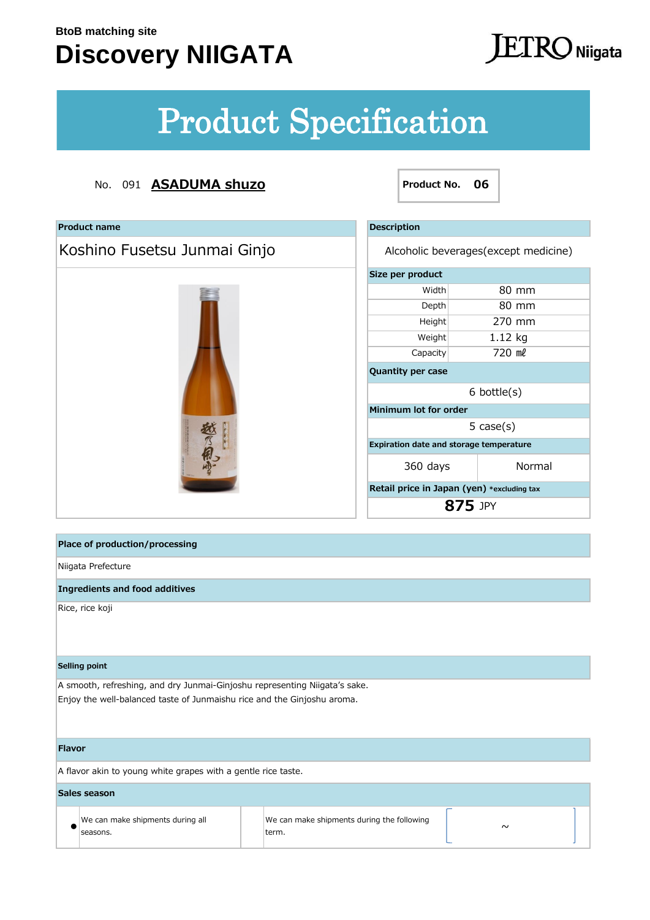seasons.

## **Discovery NIIGATA**

### **JETRO** Niigata

# Product Specification

#### No. 091 **ASADUMA shuzo Product No. 06**

| <b>Product name</b>                                                                                                                                   |                                            | <b>Description</b>                         |                                         |  |
|-------------------------------------------------------------------------------------------------------------------------------------------------------|--------------------------------------------|--------------------------------------------|-----------------------------------------|--|
| Koshino Fusetsu Junmai Ginjo                                                                                                                          |                                            | Alcoholic beverages (except medicine)      |                                         |  |
|                                                                                                                                                       |                                            | Size per product                           |                                         |  |
|                                                                                                                                                       |                                            | Width                                      | 80 mm                                   |  |
|                                                                                                                                                       |                                            | Depth                                      | 80 mm                                   |  |
|                                                                                                                                                       |                                            | Height                                     | 270 mm                                  |  |
|                                                                                                                                                       |                                            | Weight                                     | 1.12 kg                                 |  |
|                                                                                                                                                       |                                            | Capacity                                   | 720 ml                                  |  |
|                                                                                                                                                       |                                            | Quantity per case                          |                                         |  |
|                                                                                                                                                       |                                            | $6$ bottle $(s)$                           |                                         |  |
|                                                                                                                                                       |                                            | Minimum lot for order                      |                                         |  |
|                                                                                                                                                       |                                            |                                            | $5 \cose(s)$                            |  |
|                                                                                                                                                       |                                            |                                            | Expiration date and storage temperature |  |
|                                                                                                                                                       |                                            | 360 days                                   | Normal                                  |  |
|                                                                                                                                                       |                                            | Retail price in Japan (yen) *excluding tax |                                         |  |
|                                                                                                                                                       |                                            | 875 JPY                                    |                                         |  |
|                                                                                                                                                       |                                            |                                            |                                         |  |
| <b>Place of production/processing</b>                                                                                                                 |                                            |                                            |                                         |  |
| Niigata Prefecture                                                                                                                                    |                                            |                                            |                                         |  |
| <b>Ingredients and food additives</b>                                                                                                                 |                                            |                                            |                                         |  |
| Rice, rice koji                                                                                                                                       |                                            |                                            |                                         |  |
| <b>Selling point</b>                                                                                                                                  |                                            |                                            |                                         |  |
| A smooth, refreshing, and dry Junmai-Ginjoshu representing Niigata's sake.<br>Enjoy the well-balanced taste of Junmaishu rice and the Ginjoshu aroma. |                                            |                                            |                                         |  |
| <b>Flavor</b>                                                                                                                                         |                                            |                                            |                                         |  |
| A flavor akin to young white grapes with a gentle rice taste.                                                                                         |                                            |                                            |                                         |  |
| Sales season                                                                                                                                          |                                            |                                            |                                         |  |
| We can make shipments during all                                                                                                                      | We can make shipments during the following |                                            |                                         |  |
|                                                                                                                                                       |                                            |                                            | $\sim$                                  |  |

term.